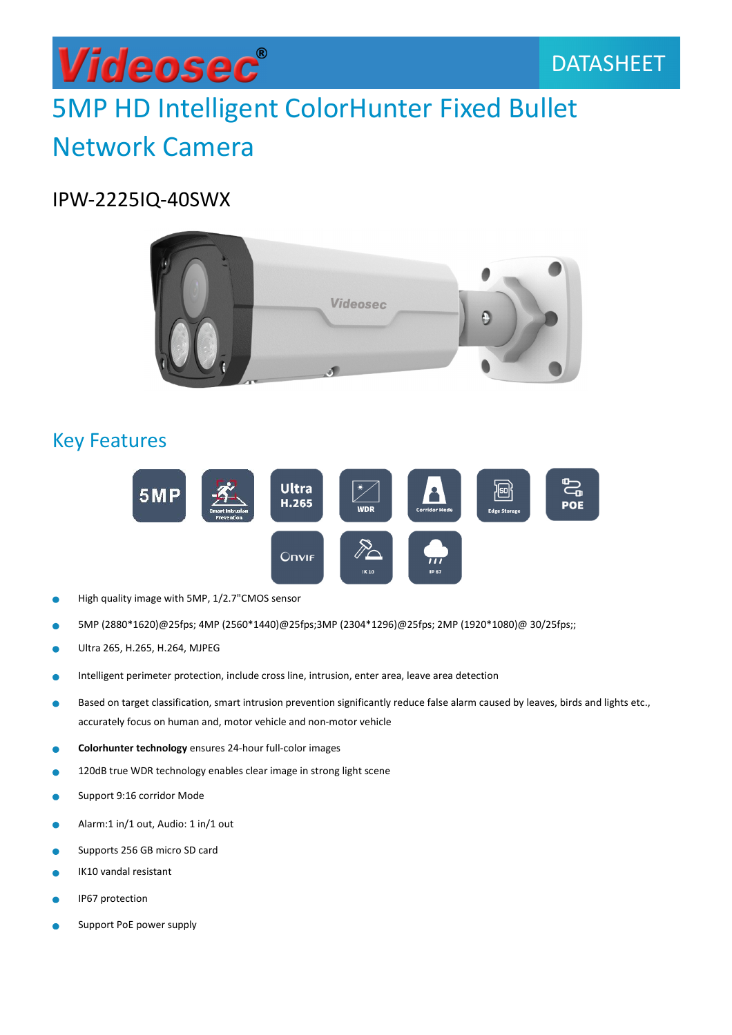### Videosec® 5MP HD Intelligent ColorHunter Fixed Bullet Network Camera

### IPW-2225IQ-40SWX



### Key Features



- High quality image with 5MP, 1/2.7"CMOS sensor ò
- 5MP (2880\*1620)@25fps; 4MP (2560\*1440)@25fps;3MP (2304\*1296)@25fps; 2MP (1920\*1080)@ 30/25fps;; ٠
- Ultra 265, H.265, H.264, MJPEG  $\bullet$
- Intelligent perimeter protection, include cross line, intrusion, enter area, leave area detection ò
- Based on target classification, smart intrusion prevention significantly reduce false alarm caused by leaves, birds and lights etc.,  $\bullet$ accurately focus on human and, motor vehicle and non-motor vehicle
- Colorhunter technology ensures 24-hour full-color images
- 120dB true WDR technology enables clear image in strong light scene  $\bullet$
- Support 9:16 corridor Mode  $\bullet$
- ö Alarm:1 in/1 out, Audio: 1 in/1 out
- ò Supports 256 GB micro SD card
- IK10 vandal resistant
- IP67 protection ۸
- Support PoE power supply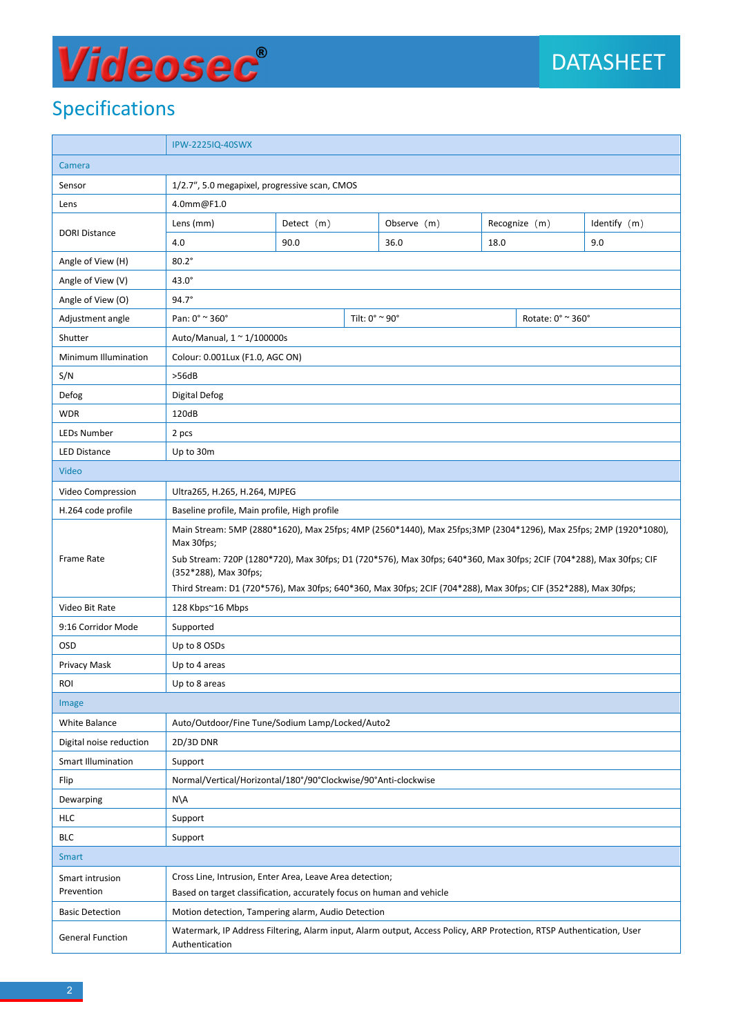## Videosec®

### Specifications

|                           | IPW-2225IQ-40SWX                                                                                                                                                                                                                                      |                                     |  |             |               |  |              |  |
|---------------------------|-------------------------------------------------------------------------------------------------------------------------------------------------------------------------------------------------------------------------------------------------------|-------------------------------------|--|-------------|---------------|--|--------------|--|
| Camera                    |                                                                                                                                                                                                                                                       |                                     |  |             |               |  |              |  |
| Sensor                    | 1/2.7", 5.0 megapixel, progressive scan, CMOS                                                                                                                                                                                                         |                                     |  |             |               |  |              |  |
| Lens                      | 4.0mm@F1.0                                                                                                                                                                                                                                            |                                     |  |             |               |  |              |  |
|                           | Lens (mm)                                                                                                                                                                                                                                             | Detect (m)                          |  | Observe (m) | Recognize (m) |  | Identify (m) |  |
| <b>DORI Distance</b>      | 4.0                                                                                                                                                                                                                                                   | 90.0                                |  | 36.0        | 18.0          |  | 9.0          |  |
| Angle of View (H)         | $80.2^\circ$                                                                                                                                                                                                                                          |                                     |  |             |               |  |              |  |
| Angle of View (V)         | $43.0^\circ$                                                                                                                                                                                                                                          |                                     |  |             |               |  |              |  |
| Angle of View (O)         | $94.7^\circ$                                                                                                                                                                                                                                          |                                     |  |             |               |  |              |  |
| Adjustment angle          | Pan: 0° ~ 360°                                                                                                                                                                                                                                        | Tilt: 0° ~ 90°<br>Rotate: 0° ~ 360° |  |             |               |  |              |  |
| Shutter                   | Auto/Manual, $1 \approx 1/100000$ s                                                                                                                                                                                                                   |                                     |  |             |               |  |              |  |
| Minimum Illumination      | Colour: 0.001Lux (F1.0, AGC ON)                                                                                                                                                                                                                       |                                     |  |             |               |  |              |  |
| S/N                       | >56dB                                                                                                                                                                                                                                                 |                                     |  |             |               |  |              |  |
| Defog                     | Digital Defog                                                                                                                                                                                                                                         |                                     |  |             |               |  |              |  |
| <b>WDR</b>                | 120dB                                                                                                                                                                                                                                                 |                                     |  |             |               |  |              |  |
| LEDs Number               | 2 pcs                                                                                                                                                                                                                                                 |                                     |  |             |               |  |              |  |
| <b>LED Distance</b>       | Up to 30m                                                                                                                                                                                                                                             |                                     |  |             |               |  |              |  |
| <b>Video</b>              |                                                                                                                                                                                                                                                       |                                     |  |             |               |  |              |  |
| Video Compression         | Ultra265, H.265, H.264, MJPEG                                                                                                                                                                                                                         |                                     |  |             |               |  |              |  |
| H.264 code profile        | Baseline profile, Main profile, High profile                                                                                                                                                                                                          |                                     |  |             |               |  |              |  |
| Frame Rate                | Main Stream: 5MP (2880*1620), Max 25fps; 4MP (2560*1440), Max 25fps;3MP (2304*1296), Max 25fps; 2MP (1920*1080),<br>Max 30fps;<br>Sub Stream: 720P (1280*720), Max 30fps; D1 (720*576), Max 30fps; 640*360, Max 30fps; 2CIF (704*288), Max 30fps; CIF |                                     |  |             |               |  |              |  |
|                           | (352*288), Max 30fps;<br>Third Stream: D1 (720*576), Max 30fps; 640*360, Max 30fps; 2CIF (704*288), Max 30fps; CIF (352*288), Max 30fps;                                                                                                              |                                     |  |             |               |  |              |  |
| Video Bit Rate            | 128 Kbps~16 Mbps                                                                                                                                                                                                                                      |                                     |  |             |               |  |              |  |
| 9:16 Corridor Mode        | Supported                                                                                                                                                                                                                                             |                                     |  |             |               |  |              |  |
| OSD                       | Up to 8 OSDs                                                                                                                                                                                                                                          |                                     |  |             |               |  |              |  |
| Privacy Mask              | Up to 4 areas                                                                                                                                                                                                                                         |                                     |  |             |               |  |              |  |
| ROI                       | Up to 8 areas                                                                                                                                                                                                                                         |                                     |  |             |               |  |              |  |
| Image                     |                                                                                                                                                                                                                                                       |                                     |  |             |               |  |              |  |
| White Balance             | Auto/Outdoor/Fine Tune/Sodium Lamp/Locked/Auto2                                                                                                                                                                                                       |                                     |  |             |               |  |              |  |
| Digital noise reduction   | 2D/3D DNR                                                                                                                                                                                                                                             |                                     |  |             |               |  |              |  |
| <b>Smart Illumination</b> | Support                                                                                                                                                                                                                                               |                                     |  |             |               |  |              |  |
| Flip                      | Normal/Vertical/Horizontal/180°/90°Clockwise/90°Anti-clockwise                                                                                                                                                                                        |                                     |  |             |               |  |              |  |
| Dewarping                 | $N\setminus A$                                                                                                                                                                                                                                        |                                     |  |             |               |  |              |  |
| <b>HLC</b>                | Support                                                                                                                                                                                                                                               |                                     |  |             |               |  |              |  |
| <b>BLC</b>                | Support                                                                                                                                                                                                                                               |                                     |  |             |               |  |              |  |
| <b>Smart</b>              |                                                                                                                                                                                                                                                       |                                     |  |             |               |  |              |  |
| Smart intrusion           | Cross Line, Intrusion, Enter Area, Leave Area detection;                                                                                                                                                                                              |                                     |  |             |               |  |              |  |
| Prevention                | Based on target classification, accurately focus on human and vehicle                                                                                                                                                                                 |                                     |  |             |               |  |              |  |
| <b>Basic Detection</b>    | Motion detection, Tampering alarm, Audio Detection                                                                                                                                                                                                    |                                     |  |             |               |  |              |  |
| <b>General Function</b>   | Watermark, IP Address Filtering, Alarm input, Alarm output, Access Policy, ARP Protection, RTSP Authentication, User<br>Authentication                                                                                                                |                                     |  |             |               |  |              |  |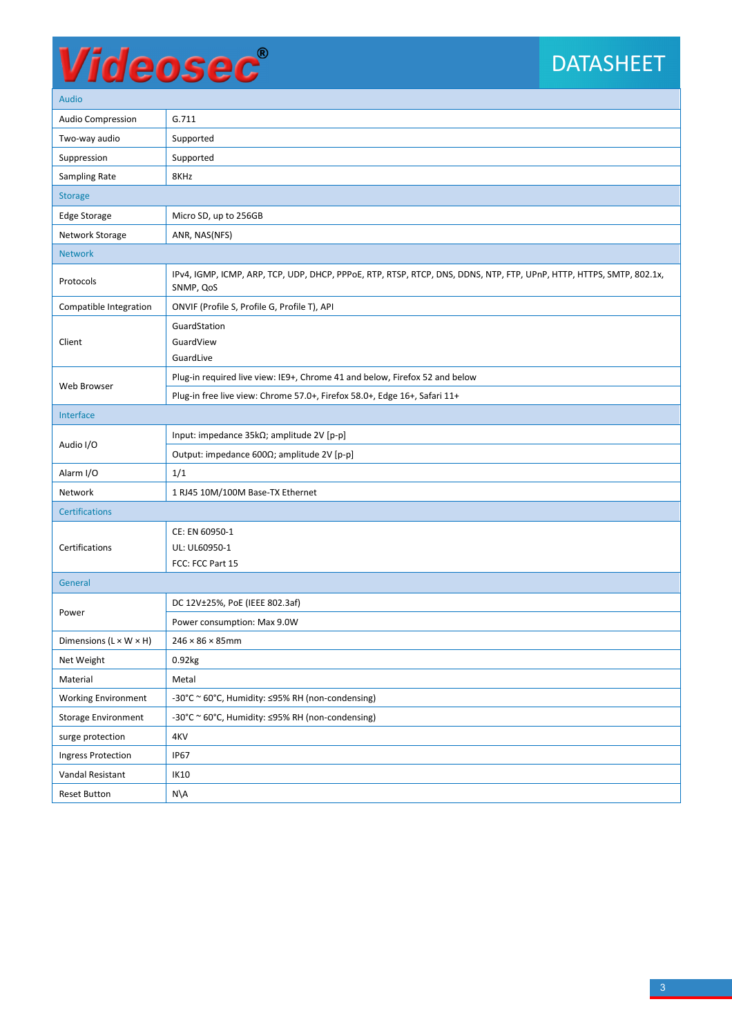# Videosec®

### DATASHEET

| Auulu                                |                                                                                                                                   |  |  |  |  |  |
|--------------------------------------|-----------------------------------------------------------------------------------------------------------------------------------|--|--|--|--|--|
| <b>Audio Compression</b>             | G.711                                                                                                                             |  |  |  |  |  |
| Two-way audio                        | Supported                                                                                                                         |  |  |  |  |  |
| Suppression                          | Supported                                                                                                                         |  |  |  |  |  |
| Sampling Rate                        | 8KHz                                                                                                                              |  |  |  |  |  |
| <b>Storage</b>                       |                                                                                                                                   |  |  |  |  |  |
| <b>Edge Storage</b>                  | Micro SD, up to 256GB                                                                                                             |  |  |  |  |  |
| Network Storage                      | ANR, NAS(NFS)                                                                                                                     |  |  |  |  |  |
| <b>Network</b>                       |                                                                                                                                   |  |  |  |  |  |
| Protocols                            | IPv4, IGMP, ICMP, ARP, TCP, UDP, DHCP, PPPoE, RTP, RTSP, RTCP, DNS, DDNS, NTP, FTP, UPnP, HTTP, HTTPS, SMTP, 802.1x,<br>SNMP, QoS |  |  |  |  |  |
| Compatible Integration               | ONVIF (Profile S, Profile G, Profile T), API                                                                                      |  |  |  |  |  |
|                                      | GuardStation                                                                                                                      |  |  |  |  |  |
| Client                               | GuardView                                                                                                                         |  |  |  |  |  |
|                                      | GuardLive                                                                                                                         |  |  |  |  |  |
| Web Browser                          | Plug-in required live view: IE9+, Chrome 41 and below, Firefox 52 and below                                                       |  |  |  |  |  |
|                                      | Plug-in free live view: Chrome 57.0+, Firefox 58.0+, Edge 16+, Safari 11+                                                         |  |  |  |  |  |
| Interface                            |                                                                                                                                   |  |  |  |  |  |
| Audio I/O                            | Input: impedance 35kΩ; amplitude 2V [p-p]                                                                                         |  |  |  |  |  |
|                                      | Output: impedance 600Ω; amplitude 2V [p-p]                                                                                        |  |  |  |  |  |
| Alarm I/O                            | 1/1                                                                                                                               |  |  |  |  |  |
| Network                              | 1 RJ45 10M/100M Base-TX Ethernet                                                                                                  |  |  |  |  |  |
| <b>Certifications</b>                |                                                                                                                                   |  |  |  |  |  |
|                                      | CE: EN 60950-1                                                                                                                    |  |  |  |  |  |
| Certifications                       | UL: UL60950-1                                                                                                                     |  |  |  |  |  |
|                                      | FCC: FCC Part 15                                                                                                                  |  |  |  |  |  |
| General                              |                                                                                                                                   |  |  |  |  |  |
| Power                                | DC 12V±25%, PoE (IEEE 802.3af)                                                                                                    |  |  |  |  |  |
|                                      | Power consumption: Max 9.0W                                                                                                       |  |  |  |  |  |
| Dimensions ( $L \times W \times H$ ) | $246 \times 86 \times 85$ mm                                                                                                      |  |  |  |  |  |
| Net Weight                           | 0.92kg                                                                                                                            |  |  |  |  |  |
| Material                             | Metal                                                                                                                             |  |  |  |  |  |
| <b>Working Environment</b>           | -30°C ~ 60°C, Humidity: ≤95% RH (non-condensing)                                                                                  |  |  |  |  |  |
| <b>Storage Environment</b>           | -30°C ~ 60°C, Humidity: ≤95% RH (non-condensing)                                                                                  |  |  |  |  |  |
| surge protection                     | 4KV                                                                                                                               |  |  |  |  |  |
| <b>Ingress Protection</b>            | <b>IP67</b>                                                                                                                       |  |  |  |  |  |
| Vandal Resistant                     | IK10                                                                                                                              |  |  |  |  |  |
| <b>Reset Button</b>                  | $N\setminus A$                                                                                                                    |  |  |  |  |  |